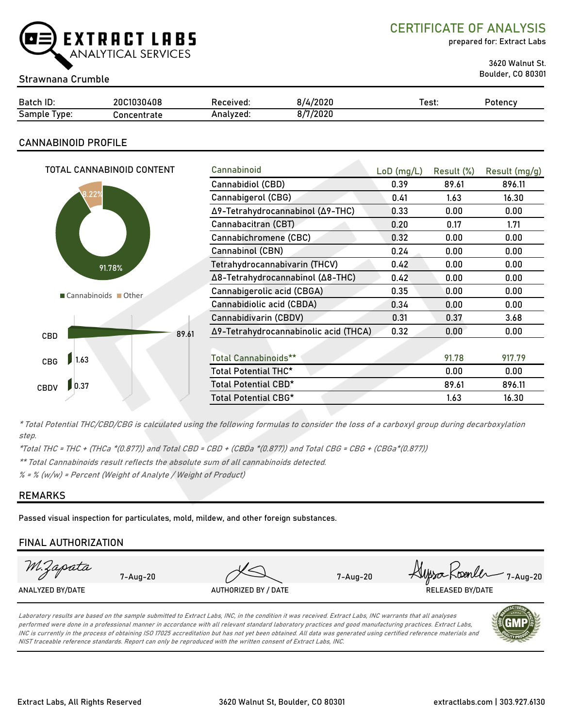

CERTIFICATE OF ANALYSIS

prepared for: Extract Labs

3620 Walnut St.

## Boulder, CO 80301 Strawnana Crumble

| Batch ID:             | 20C1030408  | Received: | 3/4/2020 | ⊺est: | Potency |
|-----------------------|-------------|-----------|----------|-------|---------|
| -<br>Sample<br>l vpe: | `oncentrate | Analvzed: | 3/7/2020 |       |         |

### CANNABINOID PROFILE

| TOTAL CANNABINOID CONTENT |       | Cannabinoid                           | $LoD$ (mg/L) | Result (%) | Result (mg/g) |
|---------------------------|-------|---------------------------------------|--------------|------------|---------------|
|                           |       | Cannabidiol (CBD)                     | 0.39         | 89.61      | 896.11        |
| .22%                      |       | Cannabigerol (CBG)                    | 0.41         | 1.63       | 16.30         |
|                           |       | Δ9-Tetrahydrocannabinol (Δ9-THC)      | 0.33         | 0.00       | 0.00          |
|                           |       | Cannabacitran (CBT)                   | 0.20         | 0.17       | 1.71          |
|                           |       | Cannabichromene (CBC)                 | 0.32         | 0.00       | 0.00          |
|                           |       | Cannabinol (CBN)                      | 0.24         | 0.00       | 0.00          |
| 91.78%                    |       | Tetrahydrocannabivarin (THCV)         | 0.42         | 0.00       | 0.00          |
|                           |       | Δ8-Tetrahydrocannabinol (Δ8-THC)      | 0.42         | 0.00       | 0.00          |
| Cannabinoids Other        |       | Cannabigerolic acid (CBGA)            | 0.35         | 0.00       | 0.00          |
|                           |       | Cannabidiolic acid (CBDA)             | 0.34         | 0.00       | 0.00          |
|                           |       | Cannabidivarin (CBDV)                 | 0.31         | 0.37       | 3.68          |
| CBD                       | 89.61 | Δ9-Tetrahydrocannabinolic acid (THCA) | 0.32         | 0.00       | 0.00          |
|                           |       |                                       |              |            |               |
| 1.63<br>CBG               |       | <b>Total Cannabinoids**</b>           |              | 91.78      | 917.79        |
|                           |       | Total Potential THC*                  |              | 0.00       | 0.00          |
| 0.37<br><b>CBDV</b>       |       | Total Potential CBD*                  |              | 89.61      | 896.11        |
|                           |       | Total Potential CBG*                  |              | 1.63       | 16.30         |

\* Total Potential THC/CBD/CBG is calculated using the following formulas to consider the loss of a carboxyl group during decarboxylation step.

\*Total THC = THC + (THCa \*(0.877)) and Total CBD = CBD + (CBDa \*(0.877)) and Total CBG = CBG + (CBGa\*(0.877))

\*\* Total Cannabinoids result reflects the absolute sum of all cannabinoids detected.

 $% =$  % (w/w) = Percent (Weight of Analyte / Weight of Product)

#### REMARKS

Passed visual inspection for particulates, mold, mildew, and other foreign substances.

#### FINAL AUTHORIZATION

| M.Zapata         | $7 - \text{Au} - 20$ |                                                                                                                                                           | $7 - Aug-20$ | Alyssa Koenler 7-Aug-20 |
|------------------|----------------------|-----------------------------------------------------------------------------------------------------------------------------------------------------------|--------------|-------------------------|
| ANALYZED BY/DATE |                      | AUTHORIZED BY / DATE                                                                                                                                      |              | <b>RELEASED BY/DATE</b> |
|                  |                      | Laboratory results are based on the sample submitted to Extract Labs, INC, in the condition it was received. Extract Labs, INC warrants that all analyses |              |                         |

performed were done in a professional manner in accordance with all relevant standard laboratory practices and good manufacturing practices. Extract Labs, INC is currently in the process of obtaining ISO 17025 accreditation but has not yet been obtained. All data was generated using certified reference materials and NIST traceable reference standards. Report can only be reproduced with the written consent of Extract Labs, INC.

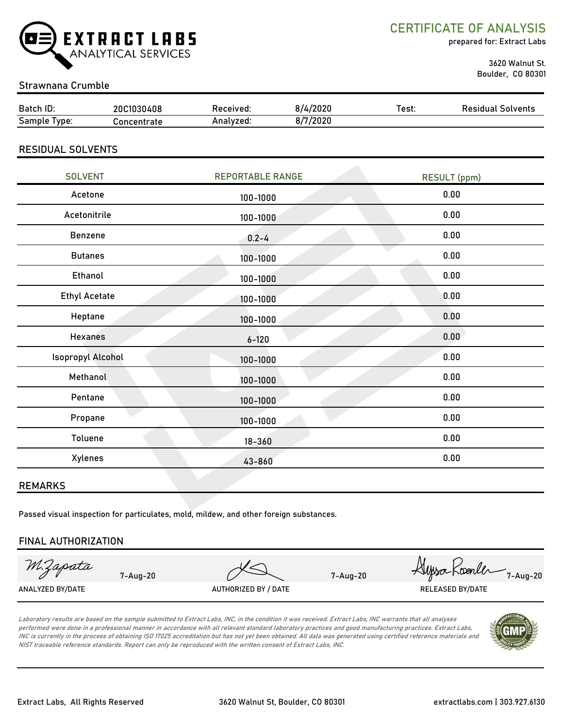

CERTIFICATE OF ANALYSIS

prepared for: Extract Labs

 3620 Walnut St. Boulder, CO 80301

## Strawnana Crumble

| Batch ID:       | 20C1030408  | Received: | 1/4/2020 | Test: | Solvents<br>Residual |
|-----------------|-------------|-----------|----------|-------|----------------------|
| Sample<br>lype: | oncentrate; | Analvzed: | 8/7/2020 |       |                      |

#### RESIDUAL SOLVENTS

| <b>SOLVENT</b>           | <b>REPORTABLE RANGE</b> | <b>RESULT (ppm)</b> |
|--------------------------|-------------------------|---------------------|
| Acetone                  | 100-1000                | 0.00                |
| Acetonitrile             | 100-1000                | 0.00                |
| Benzene                  | $0.2 - 4$               | 0.00                |
| <b>Butanes</b>           | 100-1000                | 0.00                |
| Ethanol                  | 100-1000                | 0.00                |
| <b>Ethyl Acetate</b>     | 100-1000                | 0.00                |
| Heptane                  | 100-1000                | 0.00                |
| <b>Hexanes</b>           | $6 - 120$               | 0.00                |
| <b>Isopropyl Alcohol</b> | 100-1000                | 0.00                |
| Methanol                 | 100-1000                | 0.00                |
| Pentane                  | 100-1000                | 0.00                |
| Propane                  | 100-1000                | 0.00                |
| Toluene                  | $18 - 360$              | 0.00                |
| Xylenes                  | 43-860                  | 0.00                |
|                          |                         |                     |

#### REMARKS

Passed visual inspection for particulates, mold, mildew, and other foreign substances.

#### FINAL AUTHORIZATION

M:Zapata

ANALYZED BY/DATE AUTHORIZED BY / DATE AUTHORIZED BY / DATE RELEASED BY/DATE

7-Aug-20 1-Aug-20 Hysockwanler 1-Aug-20

Laboratory results are based on the sample submitted to Extract Labs, INC, in the condition it was received. Extract Labs, INC warrants that all analyses performed were done in a professional manner in accordance with all relevant standard laboratory practices and good manufacturing practices. Extract Labs, INC is currently in the process of obtaining ISO 17025 accreditation but has not yet been obtained. All data was generated using certified reference materials and NIST traceable reference standards. Report can only be reproduced with the written consent of Extract Labs, INC.